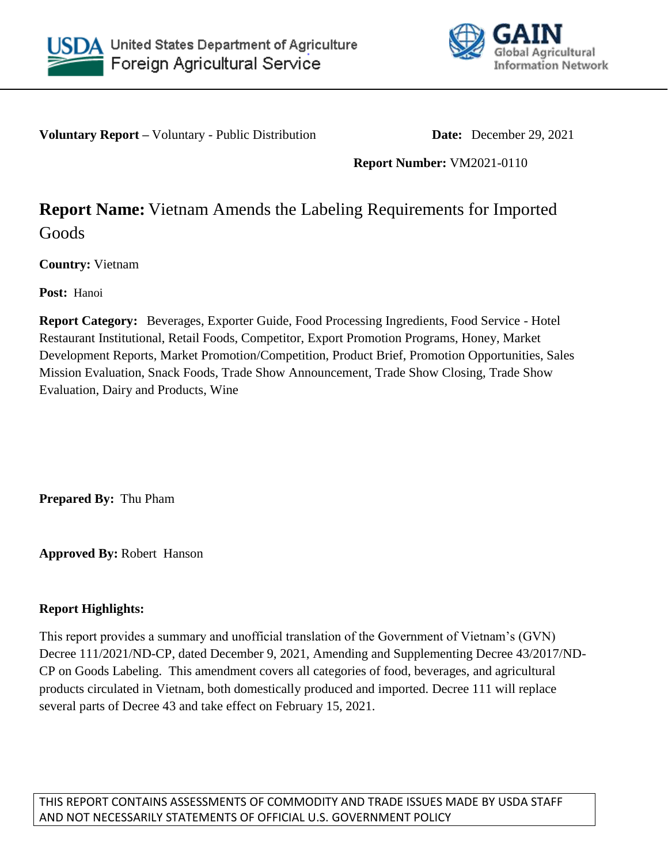



**Voluntary Report –** Voluntary - Public Distribution **Date:** December 29, 2021

**Report Number:** VM2021-0110

# **Report Name:** Vietnam Amends the Labeling Requirements for Imported Goods

**Country:** Vietnam

**Post:** Hanoi

**Report Category:** Beverages, Exporter Guide, Food Processing Ingredients, Food Service - Hotel Restaurant Institutional, Retail Foods, Competitor, Export Promotion Programs, Honey, Market Development Reports, Market Promotion/Competition, Product Brief, Promotion Opportunities, Sales Mission Evaluation, Snack Foods, Trade Show Announcement, Trade Show Closing, Trade Show Evaluation, Dairy and Products, Wine

**Prepared By:** Thu Pham

**Approved By:** Robert Hanson

## **Report Highlights:**

This report provides a summary and unofficial translation of the Government of Vietnam's (GVN) Decree 111/2021/ND-CP, dated December 9, 2021, Amending and Supplementing Decree 43/2017/ND-CP on Goods Labeling. This amendment covers all categories of food, beverages, and agricultural products circulated in Vietnam, both domestically produced and imported. Decree 111 will replace several parts of Decree 43 and take effect on February 15, 2021.

THIS REPORT CONTAINS ASSESSMENTS OF COMMODITY AND TRADE ISSUES MADE BY USDA STAFF AND NOT NECESSARILY STATEMENTS OF OFFICIAL U.S. GOVERNMENT POLICY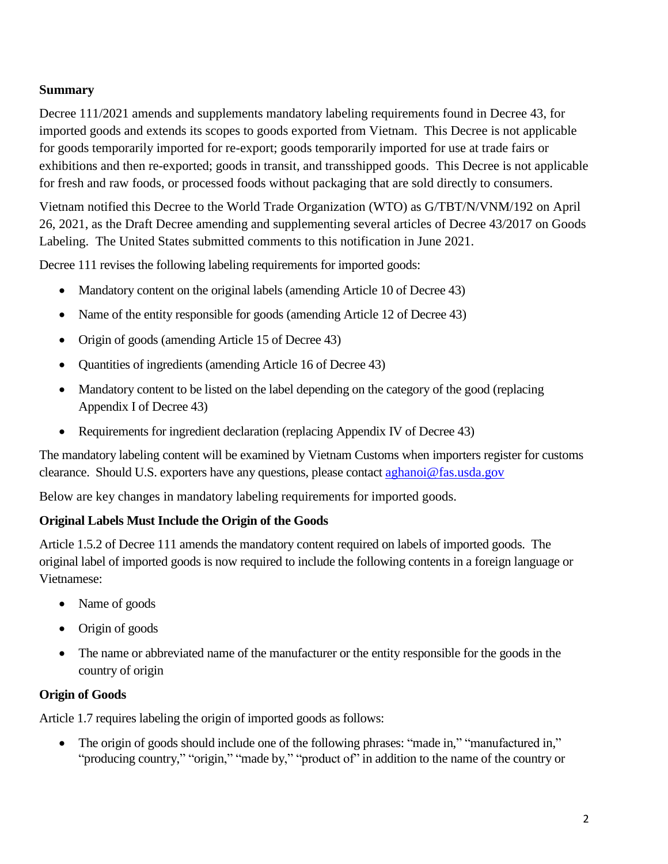## **Summary**

Decree 111/2021 amends and supplements mandatory labeling requirements found in Decree 43, for imported goods and extends its scopes to goods exported from Vietnam. This Decree is not applicable for goods temporarily imported for re-export; goods temporarily imported for use at trade fairs or exhibitions and then re-exported; goods in transit, and transshipped goods. This Decree is not applicable for fresh and raw foods, or processed foods without packaging that are sold directly to consumers.

Vietnam notified this Decree to the World Trade Organization (WTO) as G/TBT/N/VNM/192 on April 26, 2021, as the Draft Decree amending and supplementing several articles of Decree 43/2017 on Goods Labeling. The United States submitted comments to this notification in June 2021.

Decree 111 revises the following labeling requirements for imported goods:

- Mandatory content on the original labels (amending Article 10 of Decree 43)
- Name of the entity responsible for goods (amending Article 12 of Decree 43)
- Origin of goods (amending Article 15 of Decree 43)
- Quantities of ingredients (amending Article 16 of Decree 43)
- Mandatory content to be listed on the label depending on the category of the good (replacing Appendix I of Decree 43)
- Requirements for ingredient declaration (replacing Appendix IV of Decree 43)

The mandatory labeling content will be examined by Vietnam Customs when importers register for customs clearance. Should U.S. exporters have any questions, please contact [aghanoi@fas.usda.gov](mailto:aghanoi@fas.usda.gov)

Below are key changes in mandatory labeling requirements for imported goods.

## **Original Labels Must Include the Origin of the Goods**

Article 1.5.2 of Decree 111 amends the mandatory content required on labels of imported goods. The original label of imported goods is now required to include the following contents in a foreign language or Vietnamese:

- Name of goods
- Origin of goods
- The name or abbreviated name of the manufacturer or the entity responsible for the goods in the country of origin

## **Origin of Goods**

Article 1.7 requires labeling the origin of imported goods as follows:

• The origin of goods should include one of the following phrases: "made in," "manufactured in," "producing country," "origin," "made by," "product of" in addition to the name of the country or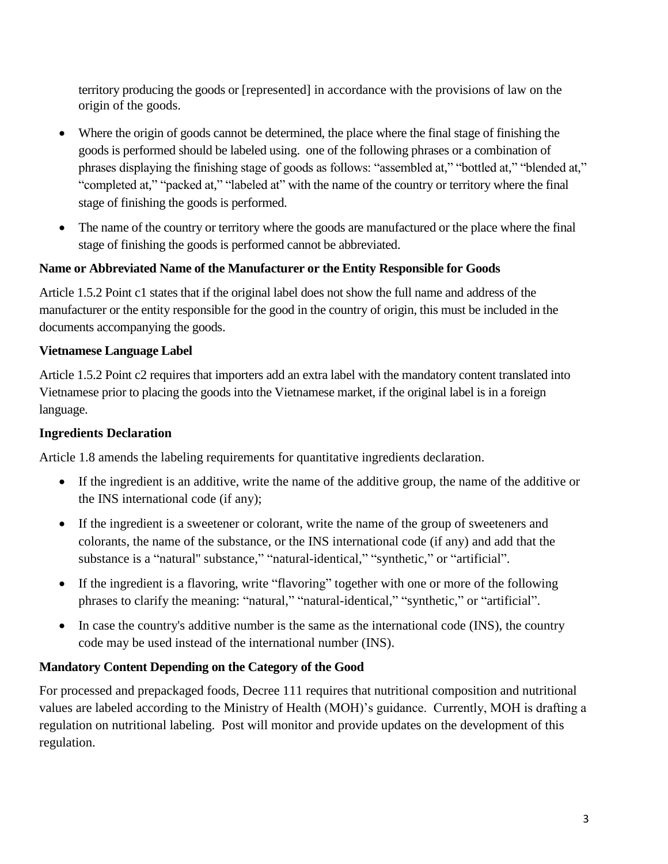territory producing the goods or [represented] in accordance with the provisions of law on the origin of the goods.

- Where the origin of goods cannot be determined, the place where the final stage of finishing the goods is performed should be labeled using. one of the following phrases or a combination of phrases displaying the finishing stage of goods as follows: "assembled at," "bottled at," "blended at," "completed at," "packed at," "labeled at" with the name of the country or territory where the final stage of finishing the goods is performed.
- The name of the country or territory where the goods are manufactured or the place where the final stage of finishing the goods is performed cannot be abbreviated.

#### **Name or Abbreviated Name of the Manufacturer or the Entity Responsible for Goods**

Article 1.5.2 Point c1 states that if the original label does not show the full name and address of the manufacturer or the entity responsible for the good in the country of origin, this must be included in the documents accompanying the goods.

#### **Vietnamese Language Label**

Article 1.5.2 Point c2 requires that importers add an extra label with the mandatory content translated into Vietnamese prior to placing the goods into the Vietnamese market, if the original label is in a foreign language.

#### **Ingredients Declaration**

Article 1.8 amends the labeling requirements for quantitative ingredients declaration.

- If the ingredient is an additive, write the name of the additive group, the name of the additive or the INS international code (if any);
- If the ingredient is a sweetener or colorant, write the name of the group of sweeteners and colorants, the name of the substance, or the INS international code (if any) and add that the substance is a "natural'' substance," "natural-identical," "synthetic," or "artificial".
- If the ingredient is a flavoring, write "flavoring" together with one or more of the following phrases to clarify the meaning: "natural," "natural-identical," "synthetic," or "artificial".
- In case the country's additive number is the same as the international code (INS), the country code may be used instead of the international number (INS).

## **Mandatory Content Depending on the Category of the Good**

For processed and prepackaged foods, Decree 111 requires that nutritional composition and nutritional values are labeled according to the Ministry of Health (MOH)'s guidance. Currently, MOH is drafting a regulation on nutritional labeling. Post will monitor and provide updates on the development of this regulation.